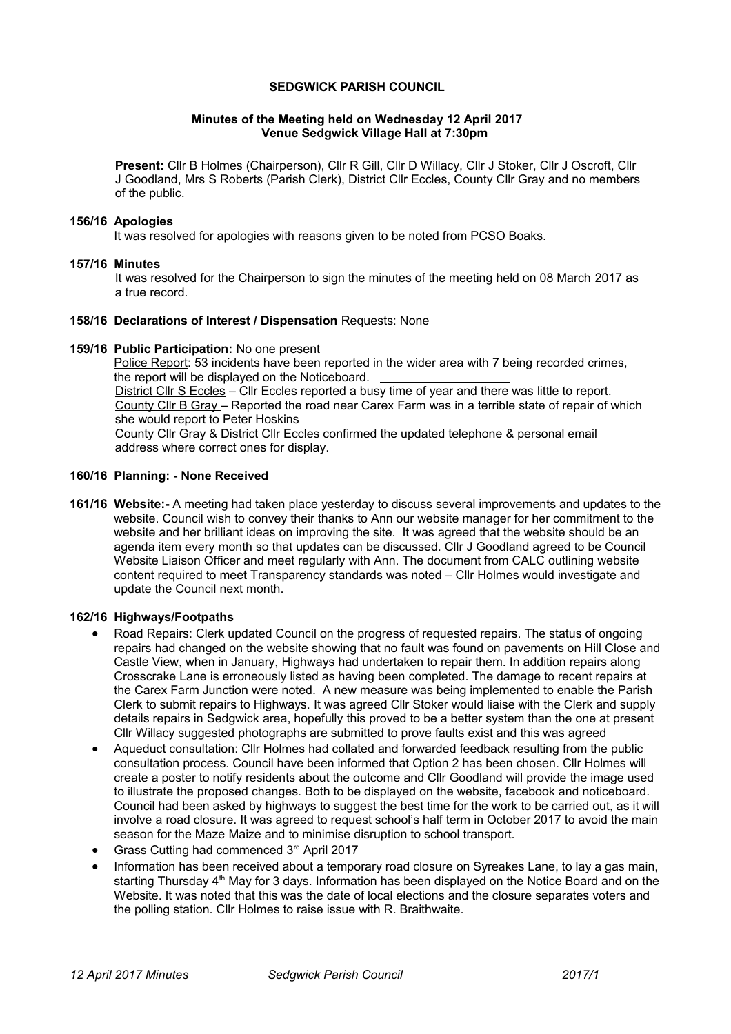# **SEDGWICK PARISH COUNCIL**

# **Minutes of the Meeting held on Wednesday 12 April 2017 Venue Sedgwick Village Hall at 7:30pm**

**Present:** Cllr B Holmes (Chairperson), Cllr R Gill, Cllr D Willacy, Cllr J Stoker, Cllr J Oscroft, Cllr J Goodland, Mrs S Roberts (Parish Clerk), District Cllr Eccles, County Cllr Gray and no members of the public.

#### **156/16 Apologies**

It was resolved for apologies with reasons given to be noted from PCSO Boaks.

### **157/16 Minutes**

It was resolved for the Chairperson to sign the minutes of the meeting held on 08 March 2017 as a true record.

#### **158/16 Declarations of Interest / Dispensation** Requests: None

#### **159/16 Public Participation:** No one present

Police Report: 53 incidents have been reported in the wider area with 7 being recorded crimes, the report will be displayed on the Noticeboard. District Cllr S Eccles – Cllr Eccles reported a busy time of year and there was little to report. County Cllr B Gray – Reported the road near Carex Farm was in a terrible state of repair of which she would report to Peter Hoskins County Cllr Gray & District Cllr Eccles confirmed the updated telephone & personal email address where correct ones for display.

# **160/16 Planning: - None Received**

**161/16 Website:-** A meeting had taken place yesterday to discuss several improvements and updates to the website. Council wish to convey their thanks to Ann our website manager for her commitment to the website and her brilliant ideas on improving the site. It was agreed that the website should be an agenda item every month so that updates can be discussed. Cllr J Goodland agreed to be Council Website Liaison Officer and meet regularly with Ann. The document from CALC outlining website content required to meet Transparency standards was noted – Cllr Holmes would investigate and update the Council next month.

### **162/16 Highways/Footpaths**

- Road Repairs: Clerk updated Council on the progress of requested repairs. The status of ongoing repairs had changed on the website showing that no fault was found on pavements on Hill Close and Castle View, when in January, Highways had undertaken to repair them. In addition repairs along Crosscrake Lane is erroneously listed as having been completed. The damage to recent repairs at the Carex Farm Junction were noted. A new measure was being implemented to enable the Parish Clerk to submit repairs to Highways. It was agreed Cllr Stoker would liaise with the Clerk and supply details repairs in Sedgwick area, hopefully this proved to be a better system than the one at present Cllr Willacy suggested photographs are submitted to prove faults exist and this was agreed
- Aqueduct consultation: Cllr Holmes had collated and forwarded feedback resulting from the public consultation process. Council have been informed that Option 2 has been chosen. Cllr Holmes will create a poster to notify residents about the outcome and Cllr Goodland will provide the image used to illustrate the proposed changes. Both to be displayed on the website, facebook and noticeboard. Council had been asked by highways to suggest the best time for the work to be carried out, as it will involve a road closure. It was agreed to request school's half term in October 2017 to avoid the main season for the Maze Maize and to minimise disruption to school transport.
- Grass Cutting had commenced 3rd April 2017
- Information has been received about a temporary road closure on Syreakes Lane, to lay a gas main, starting Thursday 4<sup>th</sup> May for 3 days. Information has been displayed on the Notice Board and on the Website. It was noted that this was the date of local elections and the closure separates voters and the polling station. Cllr Holmes to raise issue with R. Braithwaite.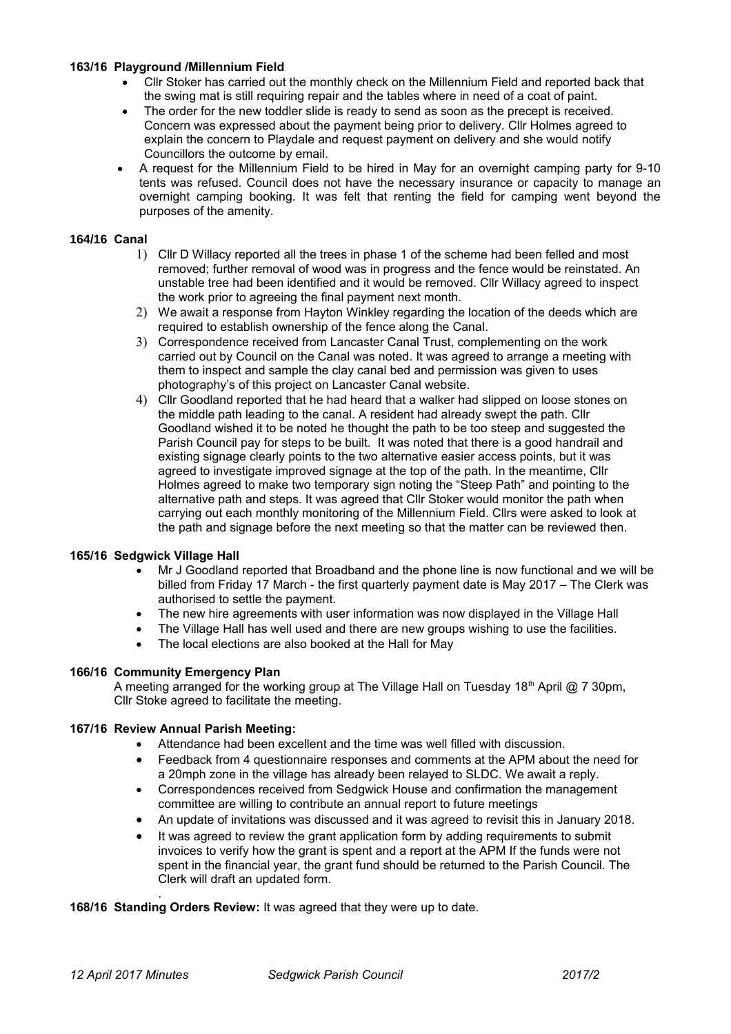## **163/16 Playground /Millennium Field**

- Cllr Stoker has carried out the monthly check on the Millennium Field and reported back that the swing mat is still requiring repair and the tables where in need of a coat of paint.
- The order for the new toddler slide is ready to send as soon as the precept is received. Concern was expressed about the payment being prior to delivery. Cllr Holmes agreed to explain the concern to Playdale and request payment on delivery and she would notify Councillors the outcome by email.
- A request for the Millennium Field to be hired in May for an overnight camping party for 9-10 tents was refused. Council does not have the necessary insurance or capacity to manage an overnight camping booking. It was felt that renting the field for camping went beyond the purposes of the amenity.

# **164/16 Canal**

- 1) Cllr D Willacy reported all the trees in phase 1 of the scheme had been felled and most removed; further removal of wood was in progress and the fence would be reinstated. An unstable tree had been identified and it would be removed. Cllr Willacy agreed to inspect the work prior to agreeing the final payment next month.
- 2) We await a response from Hayton Winkley regarding the location of the deeds which are required to establish ownership of the fence along the Canal.
- 3) Correspondence received from Lancaster Canal Trust, complementing on the work carried out by Council on the Canal was noted. It was agreed to arrange a meeting with them to inspect and sample the clay canal bed and permission was given to uses photography's of this project on Lancaster Canal website.
- 4) Cllr Goodland reported that he had heard that a walker had slipped on loose stones on the middle path leading to the canal. A resident had already swept the path. Cllr Goodland wished it to be noted he thought the path to be too steep and suggested the Parish Council pay for steps to be built. It was noted that there is a good handrail and existing signage clearly points to the two alternative easier access points, but it was agreed to investigate improved signage at the top of the path. In the meantime, Cllr Holmes agreed to make two temporary sign noting the "Steep Path" and pointing to the alternative path and steps. It was agreed that Cllr Stoker would monitor the path when carrying out each monthly monitoring of the Millennium Field. Cllrs were asked to look at the path and signage before the next meeting so that the matter can be reviewed then.

# **165/16 Sedgwick Village Hall**

- Mr J Goodland reported that Broadband and the phone line is now functional and we will be billed from Friday 17 March - the first quarterly payment date is May 2017 – The Clerk was authorised to settle the payment.
- The new hire agreements with user information was now displayed in the Village Hall
- The Village Hall has well used and there are new groups wishing to use the facilities.
- The local elections are also booked at the Hall for May

### **166/16 Community Emergency Plan**

A meeting arranged for the working group at The Village Hall on Tuesday 18<sup>th</sup> April @ 7 30pm, Cllr Stoke agreed to facilitate the meeting.

# **167/16 Review Annual Parish Meeting:**

- Attendance had been excellent and the time was well filled with discussion.
- Feedback from 4 questionnaire responses and comments at the APM about the need for a 20mph zone in the village has already been relayed to SLDC. We await a reply.
- Correspondences received from Sedgwick House and confirmation the management committee are willing to contribute an annual report to future meetings
- An update of invitations was discussed and it was agreed to revisit this in January 2018.
- It was agreed to review the grant application form by adding requirements to submit invoices to verify how the grant is spent and a report at the APM If the funds were not spent in the financial year, the grant fund should be returned to the Parish Council. The Clerk will draft an updated form.

**168/16 Standing Orders Review:** It was agreed that they were up to date.

.